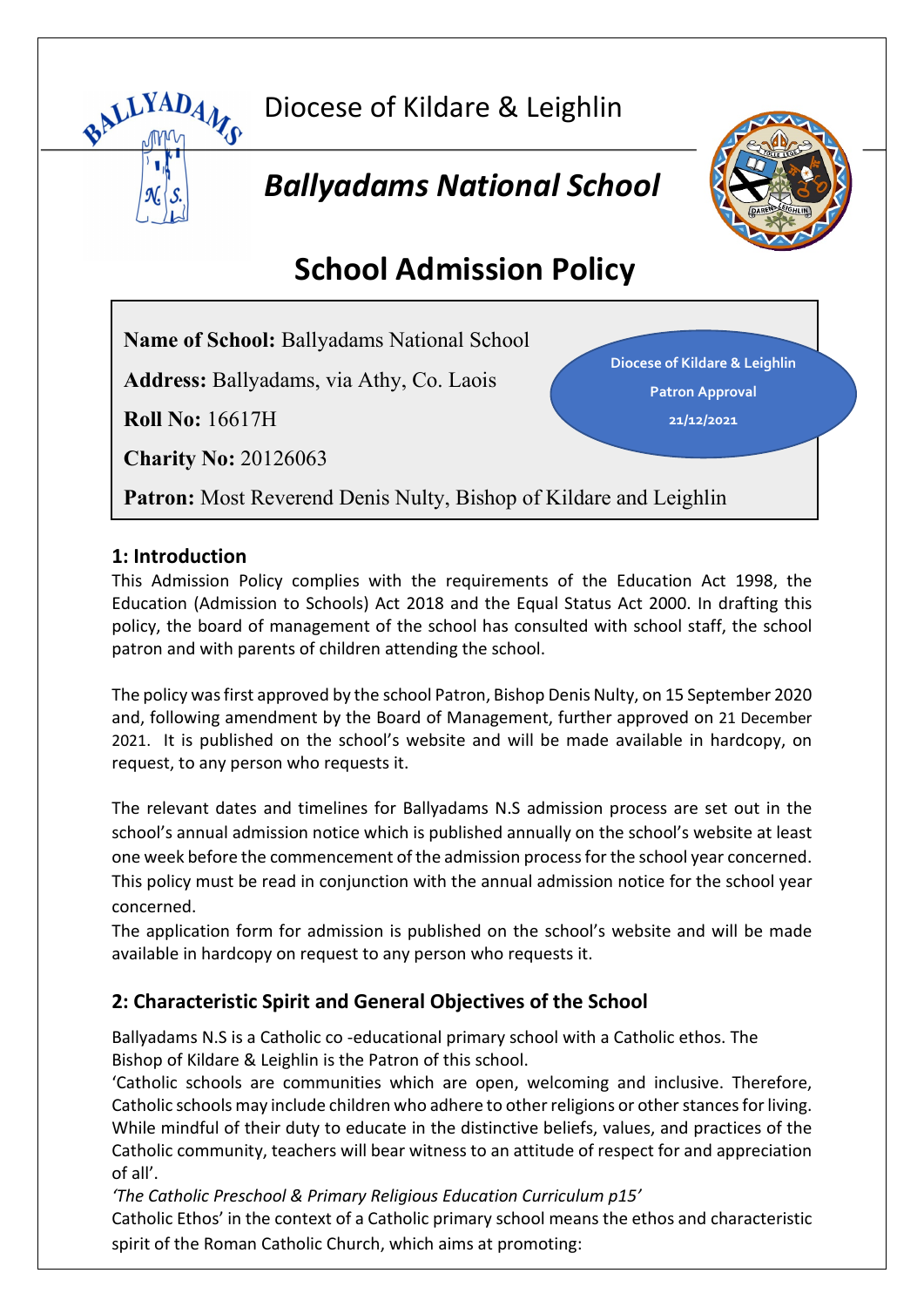

Diocese of Kildare & Leighlin

# *Ballyadams National School*



# **School Admission Policy**

**Name of School:** Ballyadams National School

**Address:** Ballyadams, via Athy, Co. Laois

**Roll No:** 16617H

**Charity No:** 20126063

**Diocese of Kildare & Leighlin Patron Approval 21/12/2021**

**Patron:** Most Reverend Denis Nulty, Bishop of Kildare and Leighlin

## **1: Introduction**

This Admission Policy complies with the requirements of the Education Act 1998, the Education (Admission to Schools) Act 2018 and the Equal Status Act 2000. In drafting this policy, the board of management of the school has consulted with school staff, the school patron and with parents of children attending the school.

The policy was first approved by the school Patron, Bishop Denis Nulty, on 15 September 2020 and, following amendment by the Board of Management, further approved on 21 December 2021. It is published on the school's website and will be made available in hardcopy, on request, to any person who requests it.

The relevant dates and timelines for Ballyadams N.S admission process are set out in the school's annual admission notice which is published annually on the school's website at least one week before the commencement of the admission process for the school year concerned. This policy must be read in conjunction with the annual admission notice for the school year concerned.

The application form for admission is published on the school's website and will be made available in hardcopy on request to any person who requests it.

# **2: Characteristic Spirit and General Objectives of the School**

Ballyadams N.S is a Catholic co -educational primary school with a Catholic ethos. The Bishop of Kildare & Leighlin is the Patron of this school.

'Catholic schools are communities which are open, welcoming and inclusive. Therefore, Catholic schools may include children who adhere to other religions or other stances for living. While mindful of their duty to educate in the distinctive beliefs, values, and practices of the Catholic community, teachers will bear witness to an attitude of respect for and appreciation of all'.

*'The Catholic Preschool & Primary Religious Education Curriculum p15'*

Catholic Ethos' in the context of a Catholic primary school means the ethos and characteristic spirit of the Roman Catholic Church, which aims at promoting: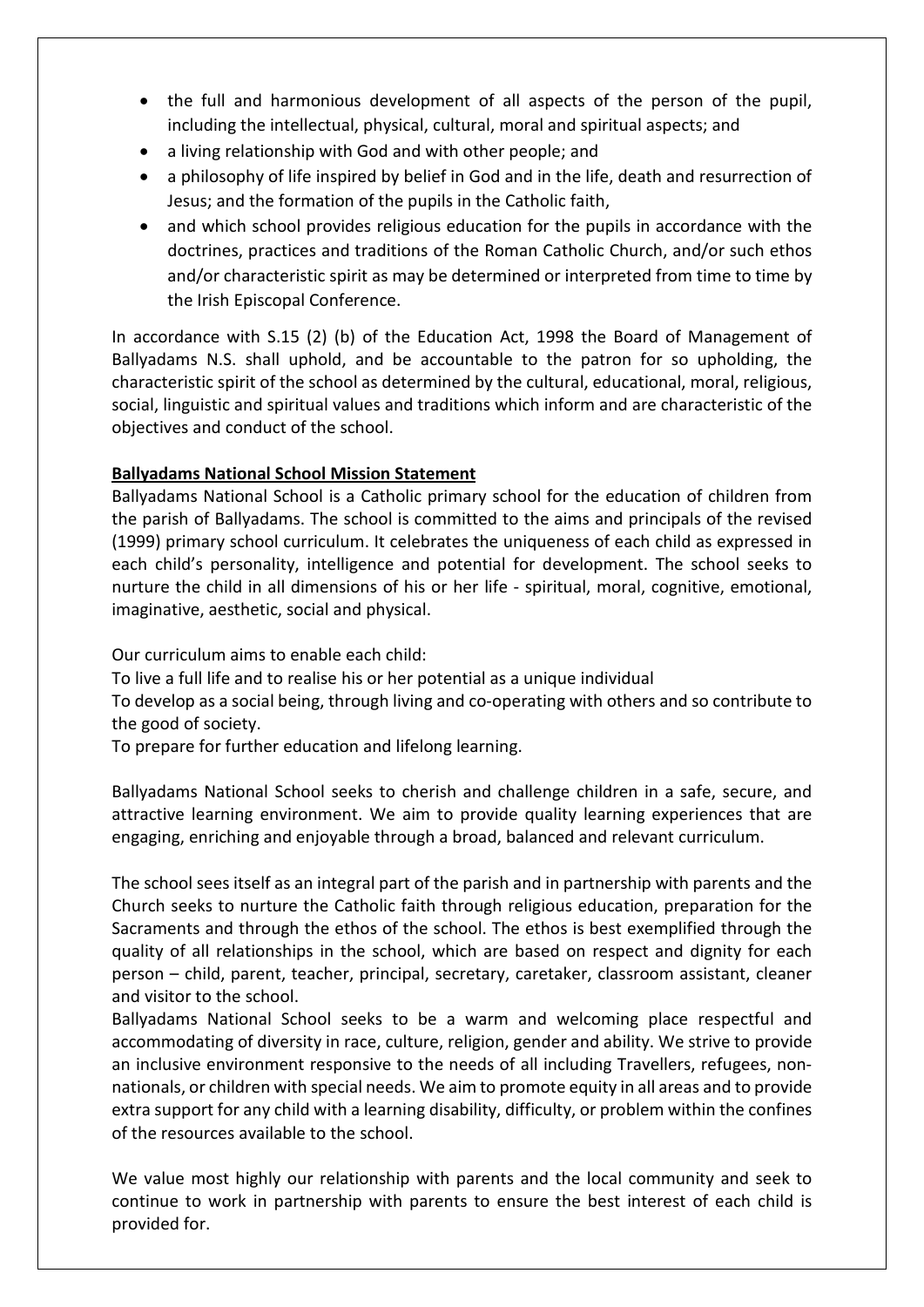- the full and harmonious development of all aspects of the person of the pupil, including the intellectual, physical, cultural, moral and spiritual aspects; and
- a living relationship with God and with other people; and
- a philosophy of life inspired by belief in God and in the life, death and resurrection of Jesus; and the formation of the pupils in the Catholic faith,
- and which school provides religious education for the pupils in accordance with the doctrines, practices and traditions of the Roman Catholic Church, and/or such ethos and/or characteristic spirit as may be determined or interpreted from time to time by the Irish Episcopal Conference.

In accordance with S.15 (2) (b) of the Education Act, 1998 the Board of Management of Ballyadams N.S. shall uphold, and be accountable to the patron for so upholding, the characteristic spirit of the school as determined by the cultural, educational, moral, religious, social, linguistic and spiritual values and traditions which inform and are characteristic of the objectives and conduct of the school.

#### **Ballyadams National School Mission Statement**

Ballyadams National School is a Catholic primary school for the education of children from the parish of Ballyadams. The school is committed to the aims and principals of the revised (1999) primary school curriculum. It celebrates the uniqueness of each child as expressed in each child's personality, intelligence and potential for development. The school seeks to nurture the child in all dimensions of his or her life - spiritual, moral, cognitive, emotional, imaginative, aesthetic, social and physical.

Our curriculum aims to enable each child:

To live a full life and to realise his or her potential as a unique individual

To develop as a social being, through living and co-operating with others and so contribute to the good of society.

To prepare for further education and lifelong learning.

Ballyadams National School seeks to cherish and challenge children in a safe, secure, and attractive learning environment. We aim to provide quality learning experiences that are engaging, enriching and enjoyable through a broad, balanced and relevant curriculum.

The school sees itself as an integral part of the parish and in partnership with parents and the Church seeks to nurture the Catholic faith through religious education, preparation for the Sacraments and through the ethos of the school. The ethos is best exemplified through the quality of all relationships in the school, which are based on respect and dignity for each person – child, parent, teacher, principal, secretary, caretaker, classroom assistant, cleaner and visitor to the school.

Ballyadams National School seeks to be a warm and welcoming place respectful and accommodating of diversity in race, culture, religion, gender and ability. We strive to provide an inclusive environment responsive to the needs of all including Travellers, refugees, nonnationals, or children with special needs. We aim to promote equity in all areas and to provide extra support for any child with a learning disability, difficulty, or problem within the confines of the resources available to the school.

We value most highly our relationship with parents and the local community and seek to continue to work in partnership with parents to ensure the best interest of each child is provided for.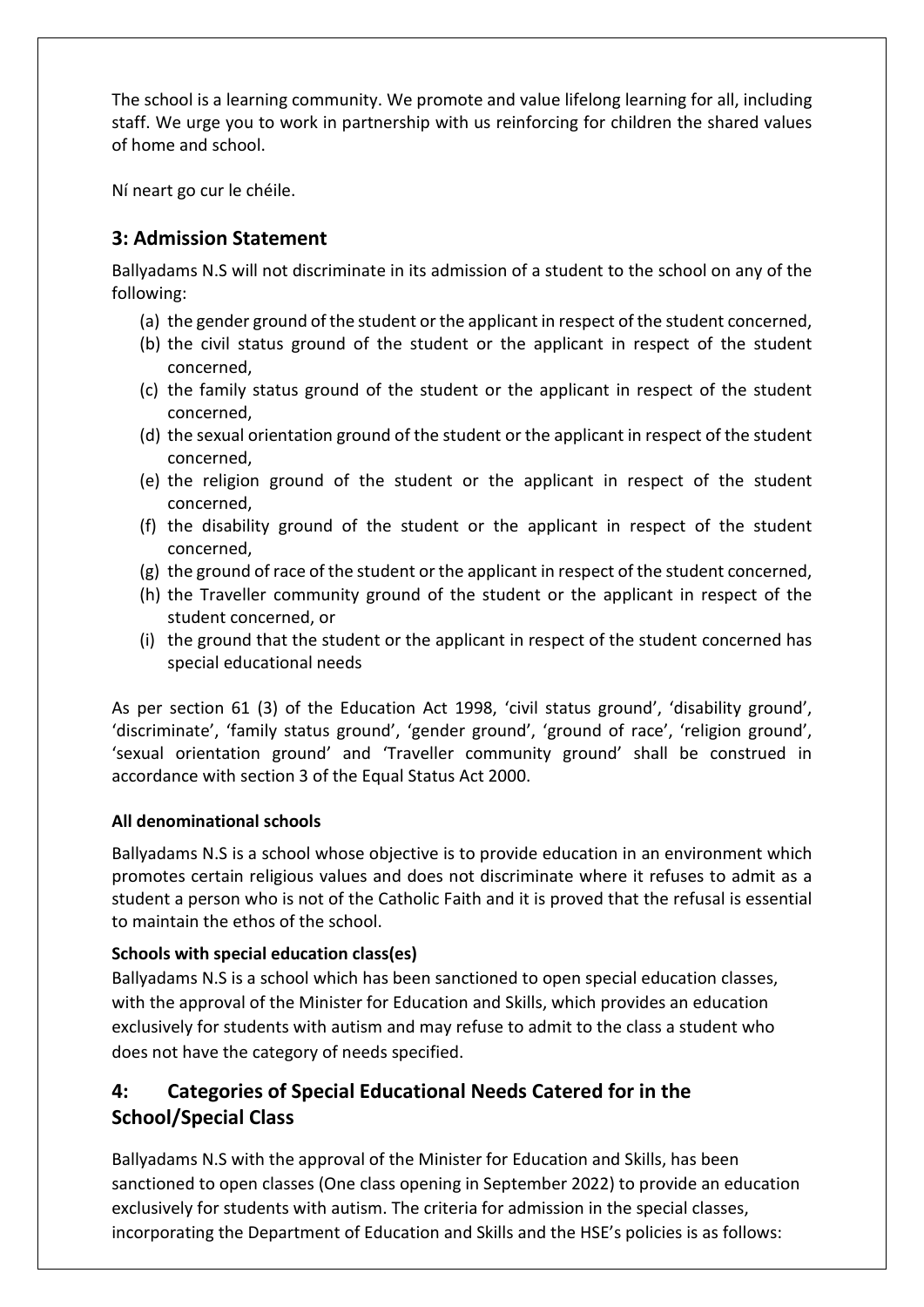The school is a learning community. We promote and value lifelong learning for all, including staff. We urge you to work in partnership with us reinforcing for children the shared values of home and school.

Ní neart go cur le chéile.

## **3: Admission Statement**

Ballyadams N.S will not discriminate in its admission of a student to the school on any of the following:

- (a) the gender ground of the student or the applicant in respect of the student concerned,
- (b) the civil status ground of the student or the applicant in respect of the student concerned,
- (c) the family status ground of the student or the applicant in respect of the student concerned,
- (d) the sexual orientation ground of the student or the applicant in respect of the student concerned,
- (e) the religion ground of the student or the applicant in respect of the student concerned,
- (f) the disability ground of the student or the applicant in respect of the student concerned,
- (g) the ground of race of the student or the applicant in respect of the student concerned,
- (h) the Traveller community ground of the student or the applicant in respect of the student concerned, or
- (i) the ground that the student or the applicant in respect of the student concerned has special educational needs

As per section 61 (3) of the Education Act 1998, 'civil status ground', 'disability ground', 'discriminate', 'family status ground', 'gender ground', 'ground of race', 'religion ground', 'sexual orientation ground' and 'Traveller community ground' shall be construed in accordance with section 3 of the Equal Status Act 2000.

#### **All denominational schools**

Ballyadams N.S is a school whose objective is to provide education in an environment which promotes certain religious values and does not discriminate where it refuses to admit as a student a person who is not of the Catholic Faith and it is proved that the refusal is essential to maintain the ethos of the school.

#### **Schools with special education class(es)**

Ballyadams N.S is a school which has been sanctioned to open special education classes, with the approval of the Minister for Education and Skills, which provides an education exclusively for students with autism and may refuse to admit to the class a student who does not have the category of needs specified.

# **4: Categories of Special Educational Needs Catered for in the School/Special Class**

Ballyadams N.S with the approval of the Minister for Education and Skills, has been sanctioned to open classes (One class opening in September 2022) to provide an education exclusively for students with autism. The criteria for admission in the special classes, incorporating the Department of Education and Skills and the HSE's policies is as follows: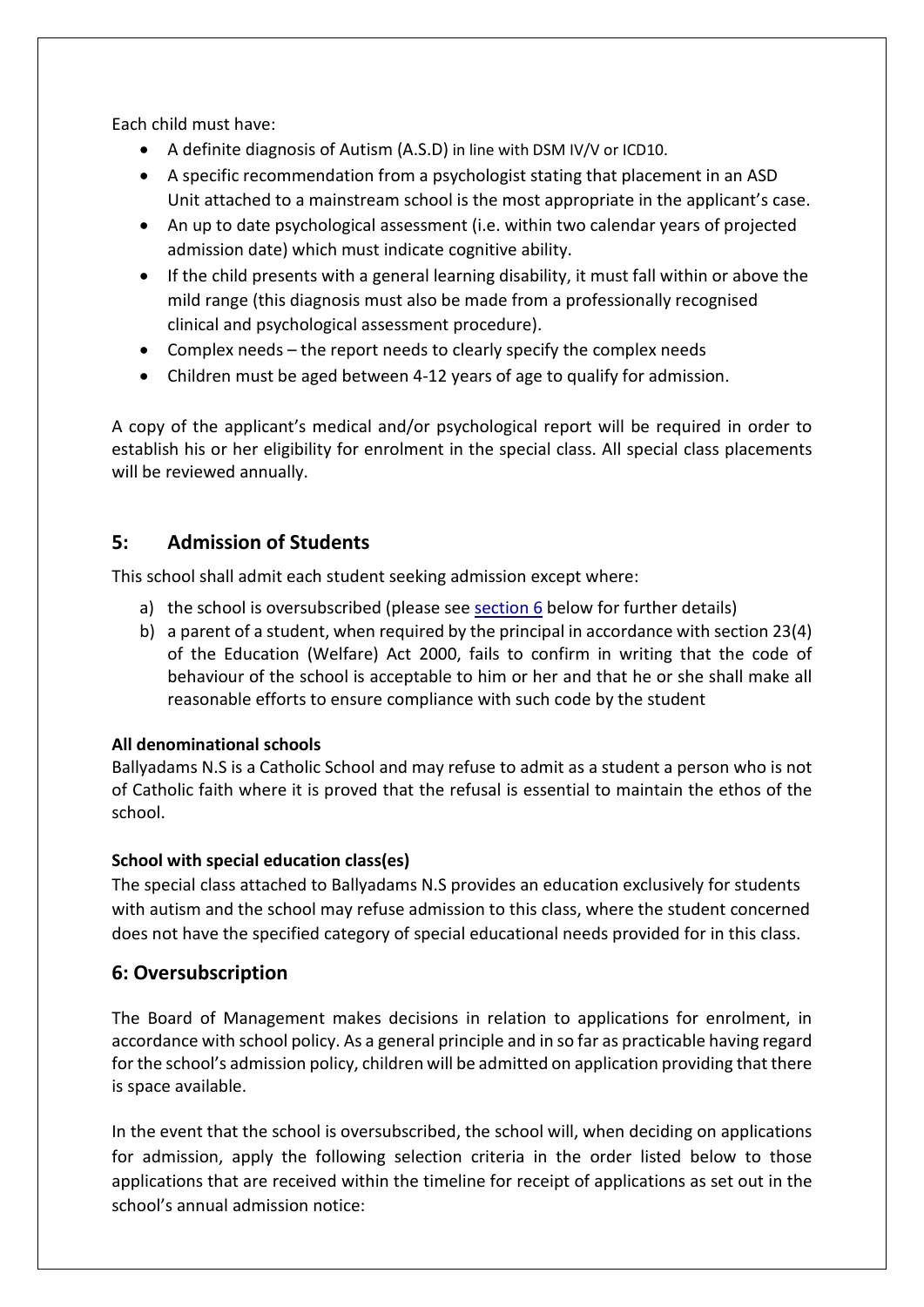Each child must have:

- A definite diagnosis of Autism (A.S.D) in line with DSM IV/V or ICD10.
- A specific recommendation from a psychologist stating that placement in an ASD Unit attached to a mainstream school is the most appropriate in the applicant's case.
- An up to date psychological assessment (i.e. within two calendar years of projected admission date) which must indicate cognitive ability.
- If the child presents with a general learning disability, it must fall within or above the mild range (this diagnosis must also be made from a professionally recognised clinical and psychological assessment procedure).
- Complex needs the report needs to clearly specify the complex needs
- Children must be aged between 4-12 years of age to qualify for admission.

A copy of the applicant's medical and/or psychological report will be required in order to establish his or her eligibility for enrolment in the special class. All special class placements will be reviewed annually.

# **5: Admission of Students**

This school shall admit each student seeking admission except where:

- a) the school is oversubscribed (please se[e section 6](#page-3-0) below for further details)
- b) a parent of a student, when required by the principal in accordance with section 23(4) of the Education (Welfare) Act 2000, fails to confirm in writing that the code of behaviour of the school is acceptable to him or her and that he or she shall make all reasonable efforts to ensure compliance with such code by the student

#### **All denominational schools**

Ballyadams N.S is a Catholic School and may refuse to admit as a student a person who is not of Catholic faith where it is proved that the refusal is essential to maintain the ethos of the school.

#### **School with special education class(es)**

The special class attached to Ballyadams N.S provides an education exclusively for students with autism and the school may refuse admission to this class, where the student concerned does not have the specified category of special educational needs provided for in this class.

#### <span id="page-3-0"></span>**6: Oversubscription**

The Board of Management makes decisions in relation to applications for enrolment, in accordance with school policy. As a general principle and in so far as practicable having regard for the school's admission policy, children will be admitted on application providing that there is space available.

In the event that the school is oversubscribed, the school will, when deciding on applications for admission, apply the following selection criteria in the order listed below to those applications that are received within the timeline for receipt of applications as set out in the school's annual admission notice: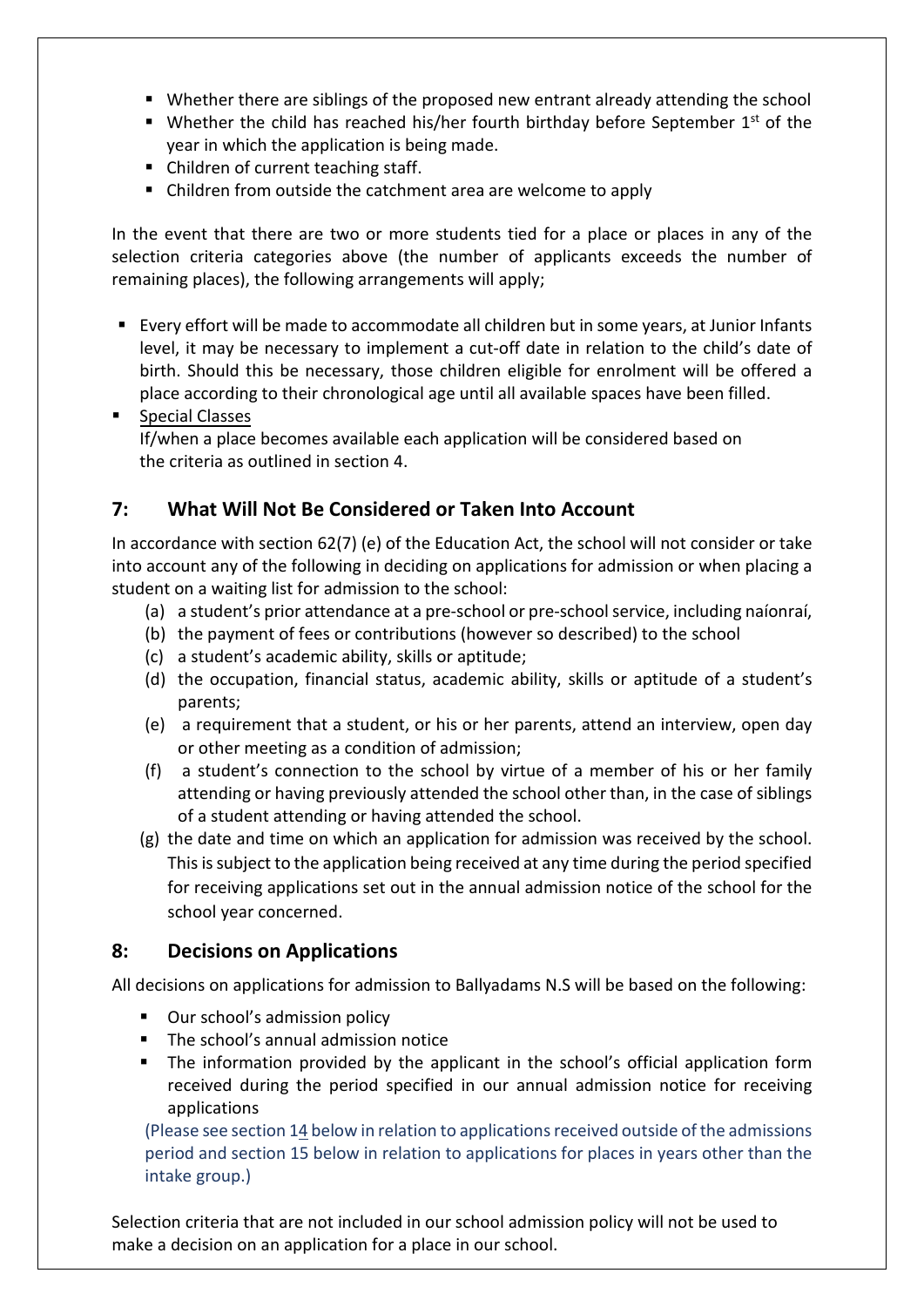- Whether there are siblings of the proposed new entrant already attending the school
- Whether the child has reached his/her fourth birthday before September  $1<sup>st</sup>$  of the year in which the application is being made.
- Children of current teaching staff.
- Children from outside the catchment area are welcome to apply

In the event that there are two or more students tied for a place or places in any of the selection criteria categories above (the number of applicants exceeds the number of remaining places), the following arrangements will apply;

- Every effort will be made to accommodate all children but in some years, at Junior Infants level, it may be necessary to implement a cut-off date in relation to the child's date of birth. Should this be necessary, those children eligible for enrolment will be offered a place according to their chronological age until all available spaces have been filled.
- **Special Classes** If/when a place becomes available each application will be considered based on the criteria as outlined in section 4.

# **7: What Will Not Be Considered or Taken Into Account**

In accordance with section 62(7) (e) of the Education Act, the school will not consider or take into account any of the following in deciding on applications for admission or when placing a student on a waiting list for admission to the school:

- (a) a student's prior attendance at a pre-school or pre-school service, including naíonraí,
- (b) the payment of fees or contributions (however so described) to the school
- (c) a student's academic ability, skills or aptitude;
- (d) the occupation, financial status, academic ability, skills or aptitude of a student's parents;
- (e) a requirement that a student, or his or her parents, attend an interview, open day or other meeting as a condition of admission;
- (f) a student's connection to the school by virtue of a member of his or her family attending or having previously attended the school other than, in the case of siblings of a student attending or having attended the school.
- (g) the date and time on which an application for admission was received by the school. This is subject to the application being received at any time during the period specified for receiving applications set out in the annual admission notice of the school for the school year concerned.

## **8: Decisions on Applications**

All decisions on applications for admission to Ballyadams N.S will be based on the following:

- Our school's admission policy
- The school's annual admission notice
- The information provided by the applicant in the school's official application form received during the period specified in our annual admission notice for receiving applications

(Please see section 14 below in relation to applications received outside of the admissions period and section 15 below in relation to applications for places in years other than the intake group.)

Selection criteria that are not included in our school admission policy will not be used to make a decision on an application for a place in our school.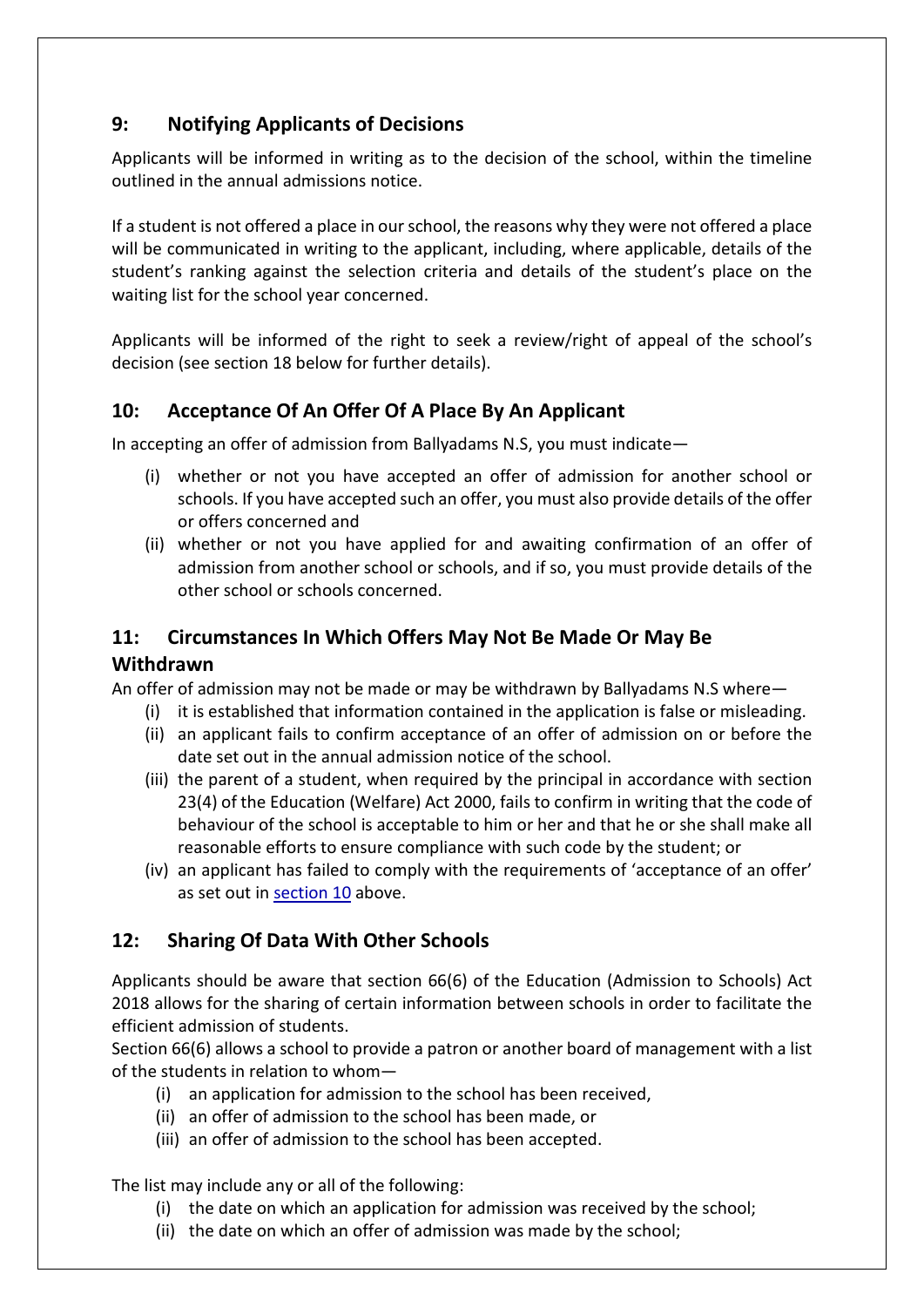# **9: Notifying Applicants of Decisions**

Applicants will be informed in writing as to the decision of the school, within the timeline outlined in the annual admissions notice.

If a student is not offered a place in our school, the reasons why they were not offered a place will be communicated in writing to the applicant, including, where applicable, details of the student's ranking against the selection criteria and details of the student's place on the waiting list for the school year concerned.

Applicants will be informed of the right to seek a review/right of appeal of the school's decision (see section 18 below for further details).

## **10: Acceptance Of An Offer Of A Place By An Applicant**

In accepting an offer of admission from Ballyadams N.S, you must indicate—

- <span id="page-5-0"></span>(i) whether or not you have accepted an offer of admission for another school or schools. If you have accepted such an offer, you must also provide details of the offer or offers concerned and
- (ii) whether or not you have applied for and awaiting confirmation of an offer of admission from another school or schools, and if so, you must provide details of the other school or schools concerned.

## **11: Circumstances In Which Offers May Not Be Made Or May Be Withdrawn**

An offer of admission may not be made or may be withdrawn by Ballyadams N.S where—

- (i) it is established that information contained in the application is false or misleading.
- (ii) an applicant fails to confirm acceptance of an offer of admission on or before the date set out in the annual admission notice of the school.
- (iii) the parent of a student, when required by the principal in accordance with section 23(4) of the Education (Welfare) Act 2000, fails to confirm in writing that the code of behaviour of the school is acceptable to him or her and that he or she shall make all reasonable efforts to ensure compliance with such code by the student; or
- (iv) an applicant has failed to comply with the requirements of 'acceptance of an offer' as set out in [section 10](#page-5-0) above.

# **12: Sharing Of Data With Other Schools**

Applicants should be aware that section 66(6) of the Education (Admission to Schools) Act 2018 allows for the sharing of certain information between schools in order to facilitate the efficient admission of students.

Section 66(6) allows a school to provide a patron or another board of management with a list of the students in relation to whom—

- (i) an application for admission to the school has been received,
- (ii) an offer of admission to the school has been made, or
- (iii) an offer of admission to the school has been accepted.

The list may include any or all of the following:

- (i) the date on which an application for admission was received by the school;
- (ii) the date on which an offer of admission was made by the school;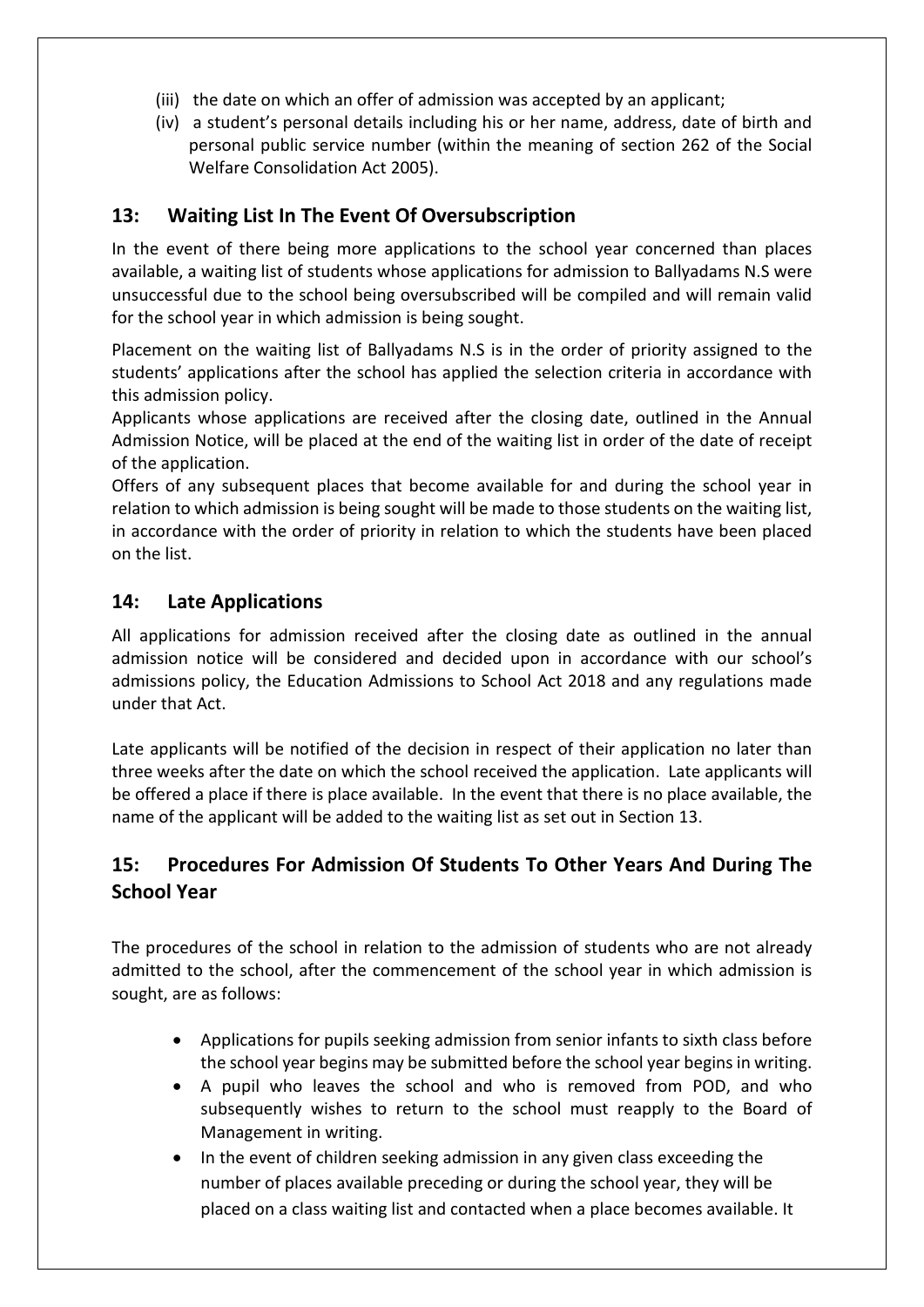- (iii) the date on which an offer of admission was accepted by an applicant;
- (iv) a student's personal details including his or her name, address, date of birth and personal public service number (within the meaning of section 262 of the Social Welfare Consolidation Act 2005).

## **13: Waiting List In The Event Of Oversubscription**

In the event of there being more applications to the school year concerned than places available, a waiting list of students whose applications for admission to Ballyadams N.S were unsuccessful due to the school being oversubscribed will be compiled and will remain valid for the school year in which admission is being sought.

Placement on the waiting list of Ballyadams N.S is in the order of priority assigned to the students' applications after the school has applied the selection criteria in accordance with this admission policy.

Applicants whose applications are received after the closing date, outlined in the Annual Admission Notice, will be placed at the end of the waiting list in order of the date of receipt of the application.

Offers of any subsequent places that become available for and during the school year in relation to which admission is being sought will be made to those students on the waiting list, in accordance with the order of priority in relation to which the students have been placed on the list.

#### **14: Late Applications**

All applications for admission received after the closing date as outlined in the annual admission notice will be considered and decided upon in accordance with our school's admissions policy, the Education Admissions to School Act 2018 and any regulations made under that Act.

Late applicants will be notified of the decision in respect of their application no later than three weeks after the date on which the school received the application. Late applicants will be offered a place if there is place available. In the event that there is no place available, the name of the applicant will be added to the waiting list as set out in Section 13.

# **15: Procedures For Admission Of Students To Other Years And During The School Year**

The procedures of the school in relation to the admission of students who are not already admitted to the school, after the commencement of the school year in which admission is sought, are as follows:

- Applications for pupils seeking admission from senior infants to sixth class before the school year begins may be submitted before the school year begins in writing.
- A pupil who leaves the school and who is removed from POD, and who subsequently wishes to return to the school must reapply to the Board of Management in writing.
- In the event of children seeking admission in any given class exceeding the number of places available preceding or during the school year, they will be placed on a class waiting list and contacted when a place becomes available. It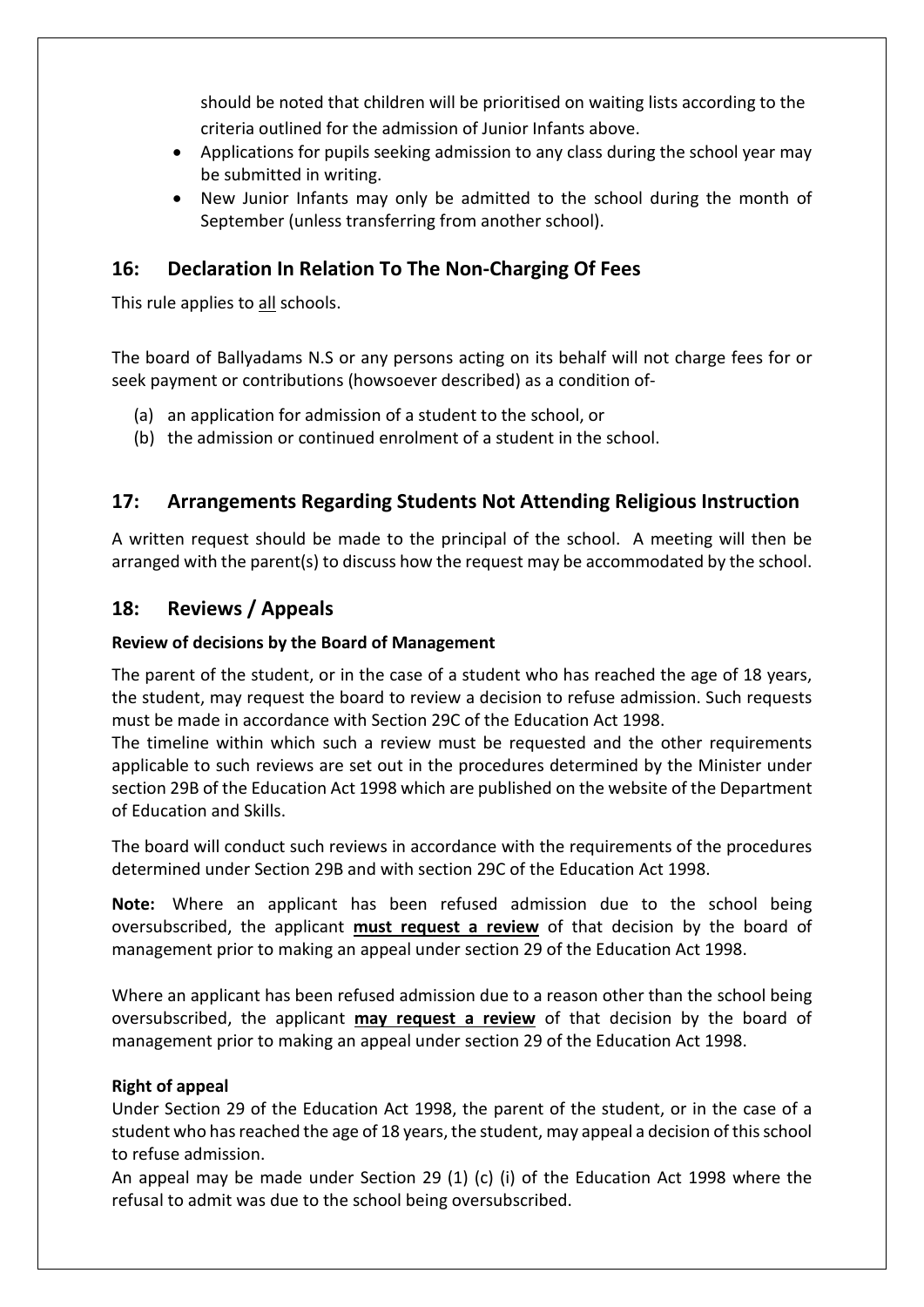should be noted that children will be prioritised on waiting lists according to the criteria outlined for the admission of Junior Infants above.

- Applications for pupils seeking admission to any class during the school year may be submitted in writing.
- New Junior Infants may only be admitted to the school during the month of September (unless transferring from another school).

### **16: Declaration In Relation To The Non-Charging Of Fees**

This rule applies to all schools.

The board of Ballyadams N.S or any persons acting on its behalf will not charge fees for or seek payment or contributions (howsoever described) as a condition of-

- (a) an application for admission of a student to the school, or
- (b) the admission or continued enrolment of a student in the school.

## **17: Arrangements Regarding Students Not Attending Religious Instruction**

A written request should be made to the principal of the school. A meeting will then be arranged with the parent(s) to discuss how the request may be accommodated by the school.

### **18: Reviews / Appeals**

#### **Review of decisions by the Board of Management**

The parent of the student, or in the case of a student who has reached the age of 18 years, the student, may request the board to review a decision to refuse admission. Such requests must be made in accordance with Section 29C of the Education Act 1998.

The timeline within which such a review must be requested and the other requirements applicable to such reviews are set out in the procedures determined by the Minister under section 29B of the Education Act 1998 which are published on the website of the Department of Education and Skills.

The board will conduct such reviews in accordance with the requirements of the procedures determined under Section 29B and with section 29C of the Education Act 1998.

**Note:** Where an applicant has been refused admission due to the school being oversubscribed, the applicant **must request a review** of that decision by the board of management prior to making an appeal under section 29 of the Education Act 1998.

Where an applicant has been refused admission due to a reason other than the school being oversubscribed, the applicant **may request a review** of that decision by the board of management prior to making an appeal under section 29 of the Education Act 1998.

#### **Right of appeal**

Under Section 29 of the Education Act 1998, the parent of the student, or in the case of a student who has reached the age of 18 years, the student, may appeal a decision of this school to refuse admission.

An appeal may be made under Section 29 (1) (c) (i) of the Education Act 1998 where the refusal to admit was due to the school being oversubscribed.